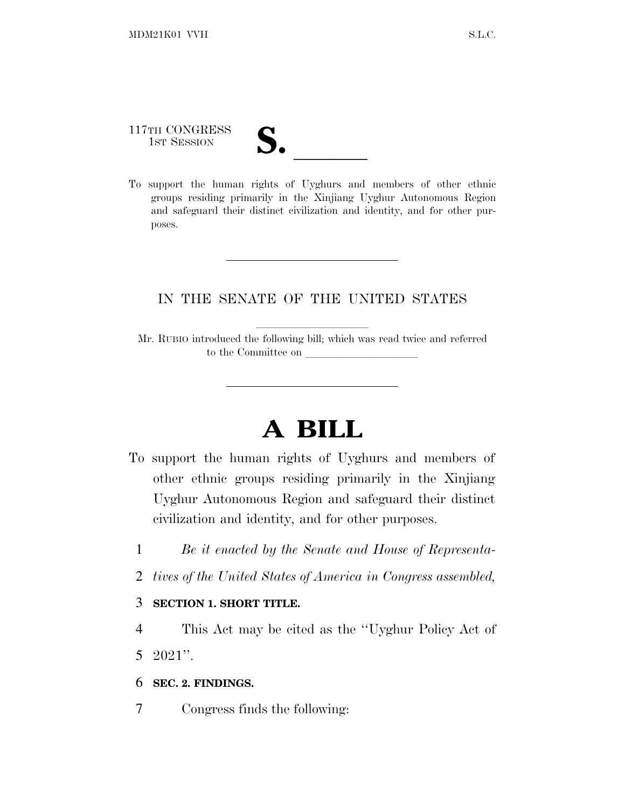117TH CONGRESS

- 
- 117TH CONGRESS<br>
1ST SESSION<br>
To support the human rights of Uyghurs and members of other ethnic groups residing primarily in the Xinjiang Uyghur Autonomous Region and safeguard their distinct civilization and identity, and for other purposes.

### IN THE SENATE OF THE UNITED STATES

Mr. RUBIO introduced the following bill; which was read twice and referred to the Committee on

# **A BILL**

- To support the human rights of Uyghurs and members of other ethnic groups residing primarily in the Xinjiang Uyghur Autonomous Region and safeguard their distinct civilization and identity, and for other purposes.
	- 1 *Be it enacted by the Senate and House of Representa-*
	- 2 *tives of the United States of America in Congress assembled,*

#### 3 **SECTION 1. SHORT TITLE.**

4 This Act may be cited as the ''Uyghur Policy Act of 5 2021''.

#### 6 **SEC. 2. FINDINGS.**

7 Congress finds the following: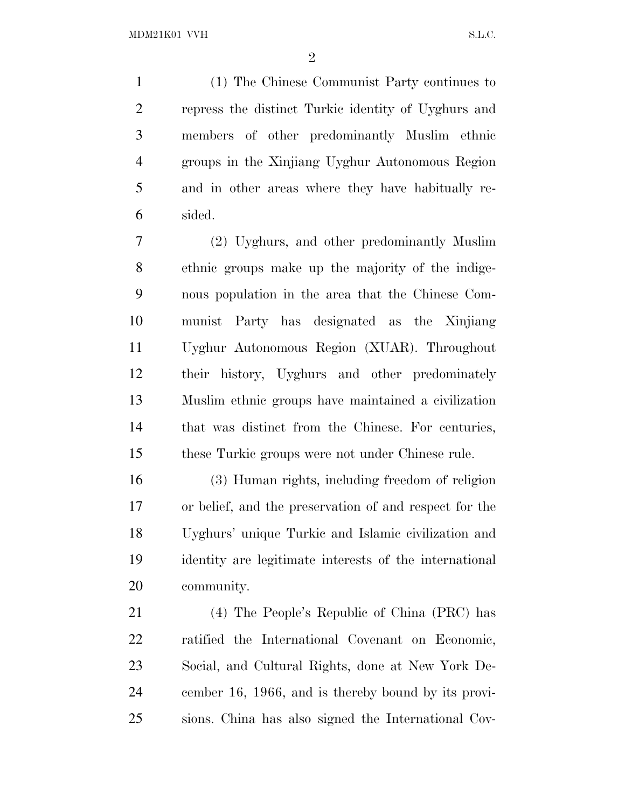(1) The Chinese Communist Party continues to repress the distinct Turkic identity of Uyghurs and members of other predominantly Muslim ethnic groups in the Xinjiang Uyghur Autonomous Region and in other areas where they have habitually re-sided.

 (2) Uyghurs, and other predominantly Muslim ethnic groups make up the majority of the indige- nous population in the area that the Chinese Com- munist Party has designated as the Xinjiang Uyghur Autonomous Region (XUAR). Throughout their history, Uyghurs and other predominately Muslim ethnic groups have maintained a civilization that was distinct from the Chinese. For centuries, these Turkic groups were not under Chinese rule.

 (3) Human rights, including freedom of religion or belief, and the preservation of and respect for the Uyghurs' unique Turkic and Islamic civilization and identity are legitimate interests of the international community.

 (4) The People's Republic of China (PRC) has ratified the International Covenant on Economic, Social, and Cultural Rights, done at New York De- cember 16, 1966, and is thereby bound by its provi-sions. China has also signed the International Cov-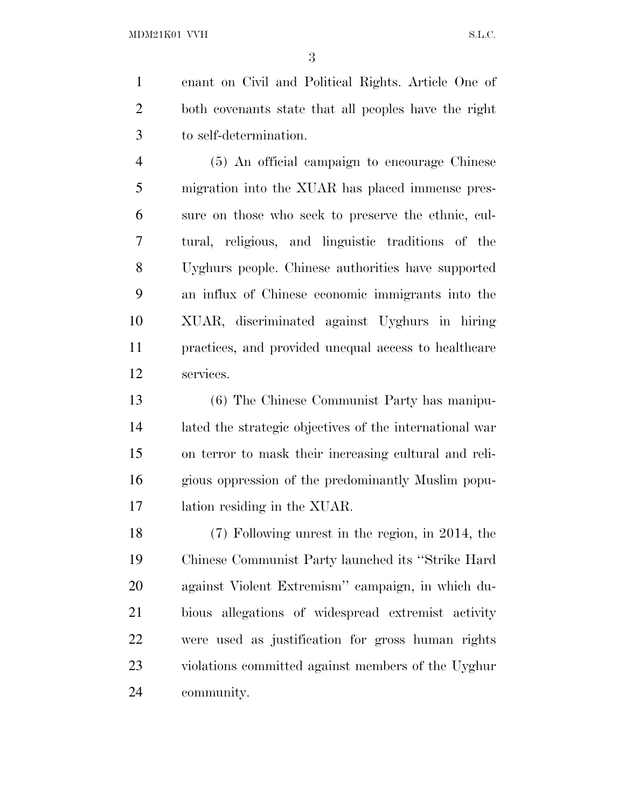enant on Civil and Political Rights. Article One of both covenants state that all peoples have the right to self-determination.

 (5) An official campaign to encourage Chinese migration into the XUAR has placed immense pres- sure on those who seek to preserve the ethnic, cul- tural, religious, and linguistic traditions of the Uyghurs people. Chinese authorities have supported an influx of Chinese economic immigrants into the XUAR, discriminated against Uyghurs in hiring practices, and provided unequal access to healthcare services.

 (6) The Chinese Communist Party has manipu- lated the strategic objectives of the international war on terror to mask their increasing cultural and reli- gious oppression of the predominantly Muslim popu-lation residing in the XUAR.

 (7) Following unrest in the region, in 2014, the Chinese Communist Party launched its ''Strike Hard against Violent Extremism'' campaign, in which du- bious allegations of widespread extremist activity were used as justification for gross human rights violations committed against members of the Uyghur community.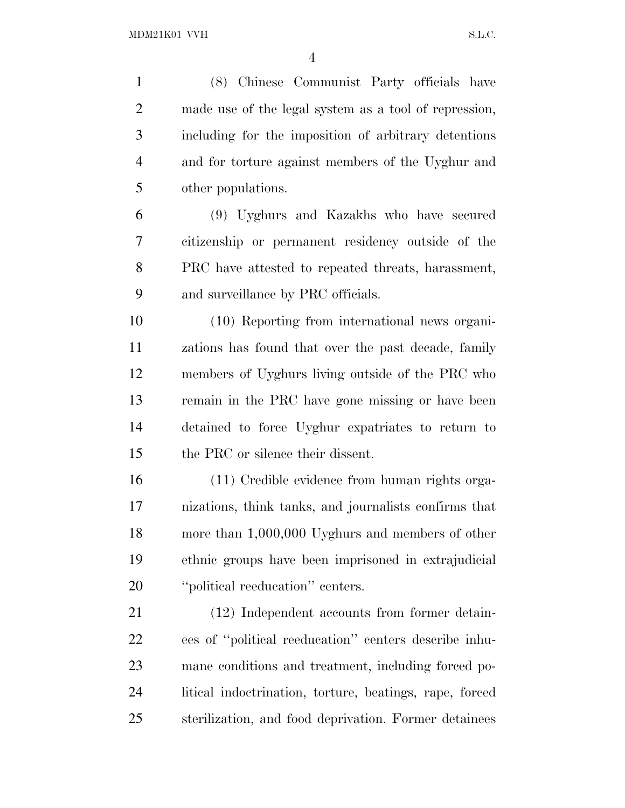(8) Chinese Communist Party officials have made use of the legal system as a tool of repression, including for the imposition of arbitrary detentions and for torture against members of the Uyghur and other populations. (9) Uyghurs and Kazakhs who have secured citizenship or permanent residency outside of the PRC have attested to repeated threats, harassment, and surveillance by PRC officials. (10) Reporting from international news organi- zations has found that over the past decade, family members of Uyghurs living outside of the PRC who remain in the PRC have gone missing or have been detained to force Uyghur expatriates to return to the PRC or silence their dissent. (11) Credible evidence from human rights orga- nizations, think tanks, and journalists confirms that more than 1,000,000 Uyghurs and members of other ethnic groups have been imprisoned in extrajudicial 20 "political reeducation" centers. (12) Independent accounts from former detain- ees of ''political reeducation'' centers describe inhu- mane conditions and treatment, including forced po- litical indoctrination, torture, beatings, rape, forced sterilization, and food deprivation. Former detainees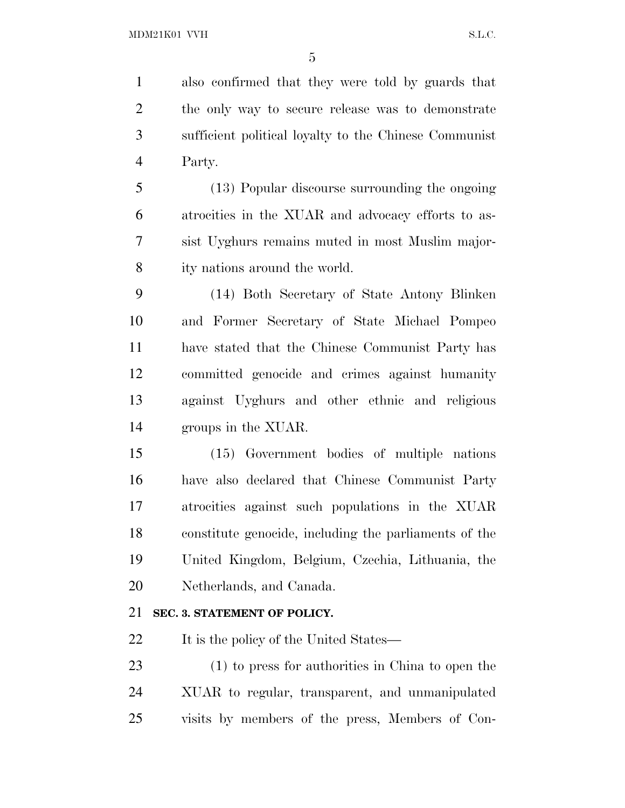also confirmed that they were told by guards that the only way to secure release was to demonstrate sufficient political loyalty to the Chinese Communist Party.

 (13) Popular discourse surrounding the ongoing atrocities in the XUAR and advocacy efforts to as- sist Uyghurs remains muted in most Muslim major-ity nations around the world.

 (14) Both Secretary of State Antony Blinken and Former Secretary of State Michael Pompeo have stated that the Chinese Communist Party has committed genocide and crimes against humanity against Uyghurs and other ethnic and religious groups in the XUAR.

 (15) Government bodies of multiple nations have also declared that Chinese Communist Party atrocities against such populations in the XUAR constitute genocide, including the parliaments of the United Kingdom, Belgium, Czechia, Lithuania, the Netherlands, and Canada.

### **SEC. 3. STATEMENT OF POLICY.**

22 It is the policy of the United States—

 (1) to press for authorities in China to open the XUAR to regular, transparent, and unmanipulated visits by members of the press, Members of Con-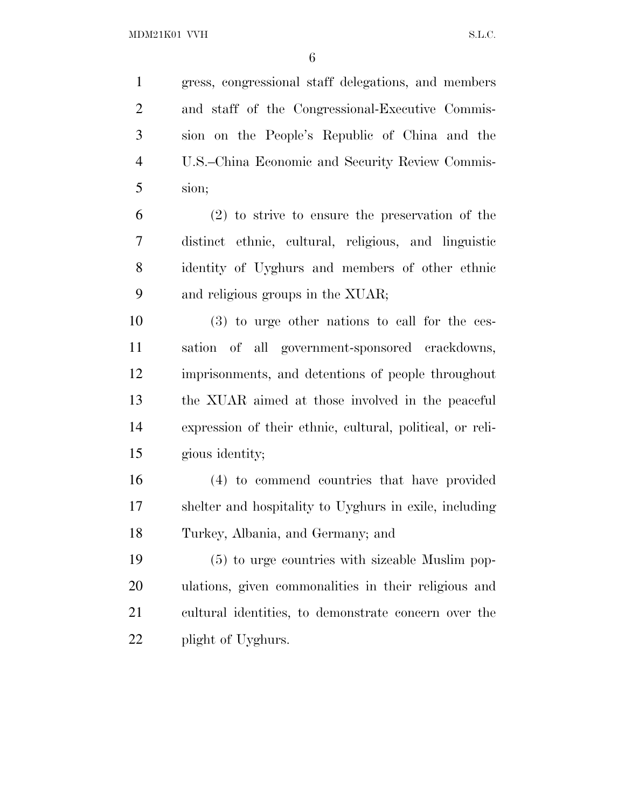gress, congressional staff delegations, and members and staff of the Congressional-Executive Commis- sion on the People's Republic of China and the U.S.–China Economic and Security Review Commis-sion;

 (2) to strive to ensure the preservation of the distinct ethnic, cultural, religious, and linguistic identity of Uyghurs and members of other ethnic and religious groups in the XUAR;

 (3) to urge other nations to call for the ces- sation of all government-sponsored crackdowns, imprisonments, and detentions of people throughout the XUAR aimed at those involved in the peaceful expression of their ethnic, cultural, political, or reli-gious identity;

 (4) to commend countries that have provided shelter and hospitality to Uyghurs in exile, including Turkey, Albania, and Germany; and

 (5) to urge countries with sizeable Muslim pop- ulations, given commonalities in their religious and cultural identities, to demonstrate concern over the plight of Uyghurs.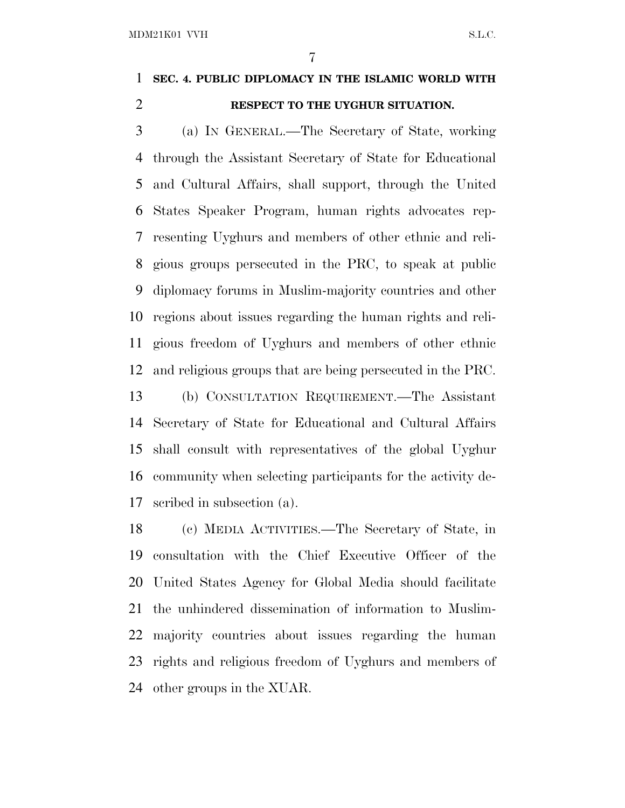### **SEC. 4. PUBLIC DIPLOMACY IN THE ISLAMIC WORLD WITH RESPECT TO THE UYGHUR SITUATION.**

 (a) I<sup>N</sup> GENERAL.—The Secretary of State, working through the Assistant Secretary of State for Educational and Cultural Affairs, shall support, through the United States Speaker Program, human rights advocates rep- resenting Uyghurs and members of other ethnic and reli- gious groups persecuted in the PRC, to speak at public diplomacy forums in Muslim-majority countries and other regions about issues regarding the human rights and reli- gious freedom of Uyghurs and members of other ethnic and religious groups that are being persecuted in the PRC.

 (b) CONSULTATION REQUIREMENT.—The Assistant Secretary of State for Educational and Cultural Affairs shall consult with representatives of the global Uyghur community when selecting participants for the activity de-scribed in subsection (a).

 (c) MEDIA ACTIVITIES.—The Secretary of State, in consultation with the Chief Executive Officer of the United States Agency for Global Media should facilitate the unhindered dissemination of information to Muslim- majority countries about issues regarding the human rights and religious freedom of Uyghurs and members of other groups in the XUAR.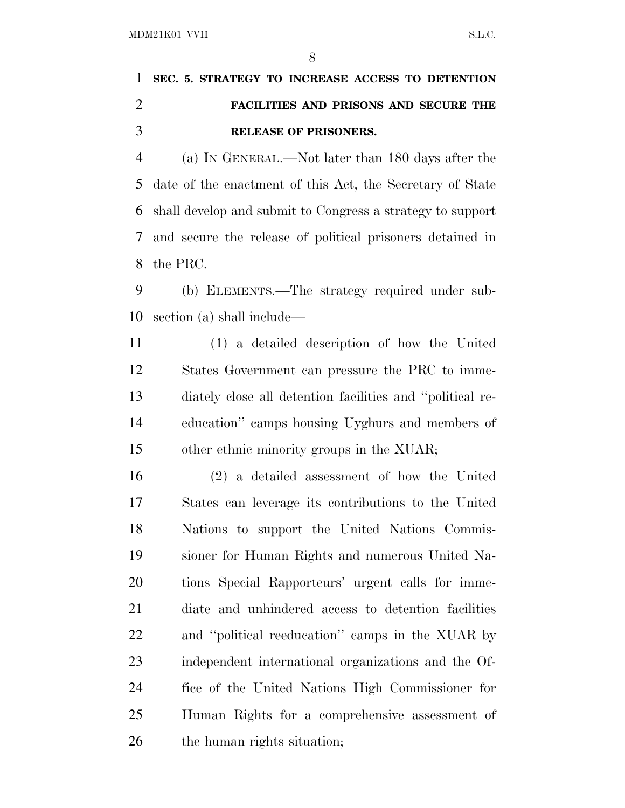## **SEC. 5. STRATEGY TO INCREASE ACCESS TO DETENTION FACILITIES AND PRISONS AND SECURE THE RELEASE OF PRISONERS.**

 (a) I<sup>N</sup> GENERAL.—Not later than 180 days after the date of the enactment of this Act, the Secretary of State shall develop and submit to Congress a strategy to support and secure the release of political prisoners detained in the PRC.

 (b) ELEMENTS.—The strategy required under sub-section (a) shall include—

 (1) a detailed description of how the United States Government can pressure the PRC to imme- diately close all detention facilities and ''political re- education'' camps housing Uyghurs and members of other ethnic minority groups in the XUAR;

 (2) a detailed assessment of how the United States can leverage its contributions to the United Nations to support the United Nations Commis- sioner for Human Rights and numerous United Na- tions Special Rapporteurs' urgent calls for imme- diate and unhindered access to detention facilities and ''political reeducation'' camps in the XUAR by independent international organizations and the Of- fice of the United Nations High Commissioner for Human Rights for a comprehensive assessment of the human rights situation;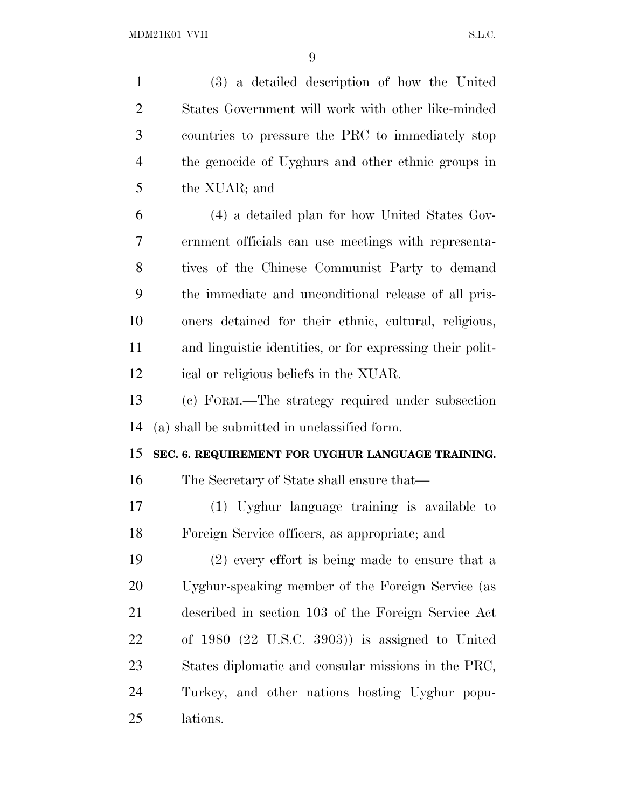| $\mathbf{1}$   | (3) a detailed description of how the United                |
|----------------|-------------------------------------------------------------|
| $\overline{c}$ | States Government will work with other like-minded          |
| 3              | countries to pressure the PRC to immediately stop           |
| $\overline{4}$ | the genocide of Uyghurs and other ethnic groups in          |
| 5              | the XUAR; and                                               |
| 6              | (4) a detailed plan for how United States Gov-              |
| 7              | ernment officials can use meetings with representa-         |
| 8              | tives of the Chinese Communist Party to demand              |
| 9              | the immediate and unconditional release of all pris-        |
| 10             | oners detained for their ethnic, cultural, religious,       |
| 11             | and linguistic identities, or for expressing their polit-   |
| 12             | ical or religious beliefs in the XUAR.                      |
| 13             | (c) FORM.—The strategy required under subsection            |
| 14             | (a) shall be submitted in unclassified form.                |
| 15             | SEC. 6. REQUIREMENT FOR UYGHUR LANGUAGE TRAINING.           |
| 16             | The Secretary of State shall ensure that—                   |
| 17             | (1) Uyghur language training is available to                |
| 18             | Foreign Service officers, as appropriate; and               |
| 19             | $(2)$ every effort is being made to ensure that a           |
| 20             | Uyghur-speaking member of the Foreign Service (as           |
| 21             | described in section 103 of the Foreign Service Act         |
| 22             | of $1980$ $(22 \text{ U.S.C. } 3903)$ is assigned to United |
| 23             | States diplomatic and consular missions in the PRC,         |
| 24             | Turkey, and other nations hosting Uyghur popu-              |
| 25             | lations.                                                    |